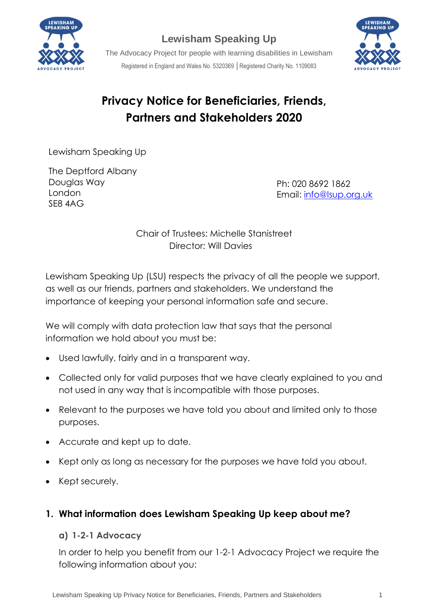

## **Lewisham Speaking Up**



The Advocacy Project for people with learning disabilities in Lewisham Registered in England and Wales No. 5320369 │Registered Charity No. 1109083

# **Privacy Notice for Beneficiaries, Friends, Partners and Stakeholders 2020**

Lewisham Speaking Up

The Deptford Albany Douglas Way London SE8 4AG

Ph: 020 8692 1862 Email: [info@lsup.org.uk](mailto:info@lsup.org.uk)

#### Chair of Trustees: Michelle Stanistreet Director: Will Davies

Lewisham Speaking Up (LSU) respects the privacy of all the people we support, as well as our friends, partners and stakeholders. We understand the importance of keeping your personal information safe and secure.

We will comply with data protection law that says that the personal information we hold about you must be:

- Used lawfully, fairly and in a transparent way.
- Collected only for valid purposes that we have clearly explained to you and not used in any way that is incompatible with those purposes.
- Relevant to the purposes we have told you about and limited only to those purposes.
- Accurate and kept up to date.
- Kept only as long as necessary for the purposes we have told you about.
- Kept securely.

## **1. What information does Lewisham Speaking Up keep about me?**

#### **a) 1-2-1 Advocacy**

In order to help you benefit from our 1-2-1 Advocacy Project we require the following information about you: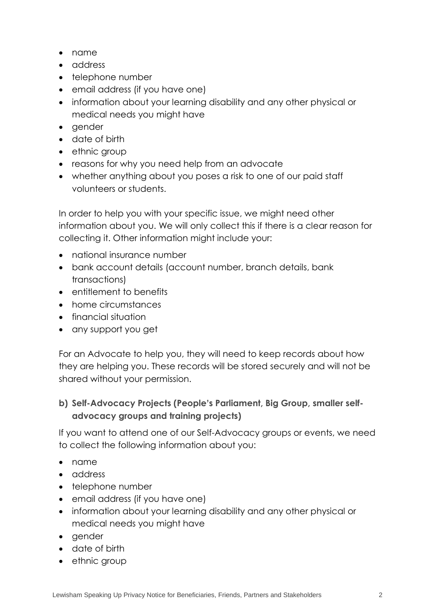- name
- address
- telephone number
- email address (if you have one)
- information about your learning disability and any other physical or medical needs you might have
- gender
- date of birth
- ethnic group
- reasons for why you need help from an advocate
- whether anything about you poses a risk to one of our paid staff volunteers or students.

In order to help you with your specific issue, we might need other information about you. We will only collect this if there is a clear reason for collecting it. Other information might include your:

- national insurance number
- bank account details (account number, branch details, bank transactions)
- entitlement to benefits
- home circumstances
- financial situation
- any support you get

For an Advocate to help you, they will need to keep records about how they are helping you. These records will be stored securely and will not be shared without your permission.

## **b) Self-Advocacy Projects (People's Parliament, Big Group, smaller selfadvocacy groups and training projects)**

If you want to attend one of our Self-Advocacy groups or events, we need to collect the following information about you:

- name
- address
- telephone number
- email address (if you have one)
- information about your learning disability and any other physical or medical needs you might have
- gender
- date of birth
- ethnic group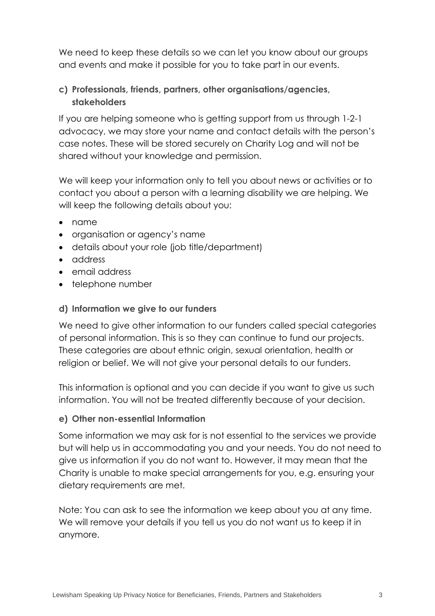We need to keep these details so we can let you know about our groups and events and make it possible for you to take part in our events.

## **c) Professionals, friends, partners, other organisations/agencies, stakeholders**

If you are helping someone who is getting support from us through 1-2-1 advocacy, we may store your name and contact details with the person's case notes. These will be stored securely on Charity Log and will not be shared without your knowledge and permission.

We will keep your information only to tell you about news or activities or to contact you about a person with a learning disability we are helping. We will keep the following details about you:

- name
- organisation or agency's name
- details about your role (job title/department)
- address
- email address
- telephone number

#### **d) Information we give to our funders**

We need to give other information to our funders called special categories of personal information. This is so they can continue to fund our projects. These categories are about ethnic origin, sexual orientation, health or religion or belief. We will not give your personal details to our funders.

This information is optional and you can decide if you want to give us such information. You will not be treated differently because of your decision.

#### **e) Other non-essential Information**

Some information we may ask for is not essential to the services we provide but will help us in accommodating you and your needs. You do not need to give us information if you do not want to. However, it may mean that the Charity is unable to make special arrangements for you, e.g. ensuring your dietary requirements are met.

Note: You can ask to see the information we keep about you at any time. We will remove your details if you tell us you do not want us to keep it in anymore.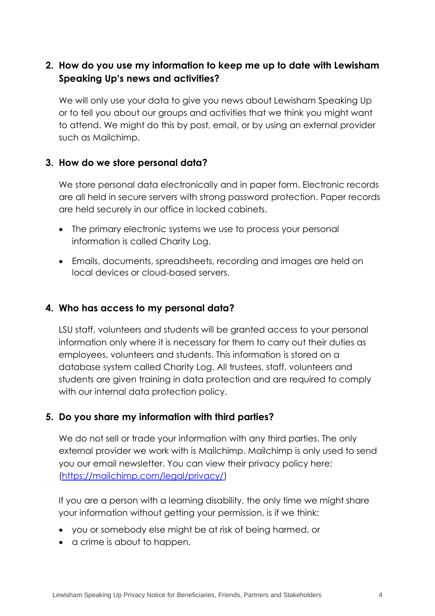## **2. How do you use my information to keep me up to date with Lewisham Speaking Up's news and activities?**

We will only use your data to give you news about Lewisham Speaking Up or to tell you about our groups and activities that we think you might want to attend. We might do this by post, email, or by using an external provider such as Mailchimp.

#### **3. How do we store personal data?**

We store personal data electronically and in paper form. Electronic records are all held in secure servers with strong password protection. Paper records are held securely in our office in locked cabinets.

- The primary electronic systems we use to process your personal information is called Charity Log.
- Emails, documents, spreadsheets, recording and images are held on local devices or cloud-based servers.

## **4. Who has access to my personal data?**

LSU staff, volunteers and students will be granted access to your personal information only where it is necessary for them to carry out their duties as employees, volunteers and students. This information is stored on a database system called Charity Log. All trustees, staff, volunteers and students are given training in data protection and are required to comply with our internal data protection policy.

## **5. Do you share my information with third parties?**

We do not sell or trade your information with any third parties. The only external provider we work with is Mailchimp. Mailchimp is only used to send you our email newsletter. You can view their privacy policy here: [\(https://mailchimp.com/legal/privacy/\)](https://mailchimp.com/legal/privacy/)

If you are a person with a learning disability, the only time we might share your information without getting your permission, is if we think:

- you or somebody else might be at risk of being harmed, or
- a crime is about to happen.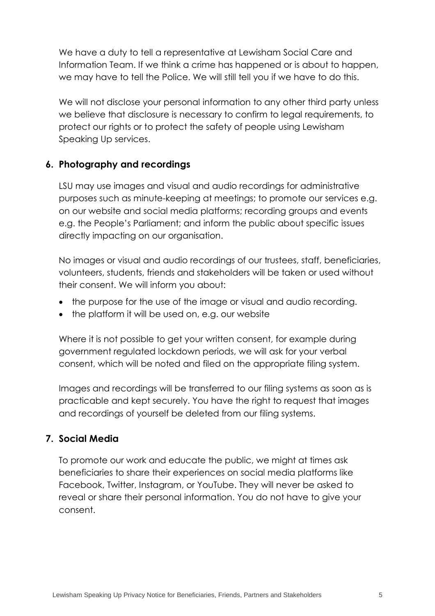We have a duty to tell a representative at Lewisham Social Care and Information Team. If we think a crime has happened or is about to happen, we may have to tell the Police. We will still tell you if we have to do this.

We will not disclose your personal information to any other third party unless we believe that disclosure is necessary to confirm to legal requirements, to protect our rights or to protect the safety of people using Lewisham Speaking Up services.

## **6. Photography and recordings**

LSU may use images and visual and audio recordings for administrative purposes such as minute-keeping at meetings; to promote our services e.g. on our website and social media platforms; recording groups and events e.g. the People's Parliament; and inform the public about specific issues directly impacting on our organisation.

No images or visual and audio recordings of our trustees, staff, beneficiaries, volunteers, students, friends and stakeholders will be taken or used without their consent. We will inform you about:

- the purpose for the use of the image or visual and audio recording.
- the platform it will be used on, e.g. our website

Where it is not possible to get your written consent, for example during government regulated lockdown periods, we will ask for your verbal consent, which will be noted and filed on the appropriate filing system.

Images and recordings will be transferred to our filing systems as soon as is practicable and kept securely. You have the right to request that images and recordings of yourself be deleted from our filing systems.

## **7. Social Media**

To promote our work and educate the public, we might at times ask beneficiaries to share their experiences on social media platforms like Facebook, Twitter, Instagram, or YouTube. They will never be asked to reveal or share their personal information. You do not have to give your consent.